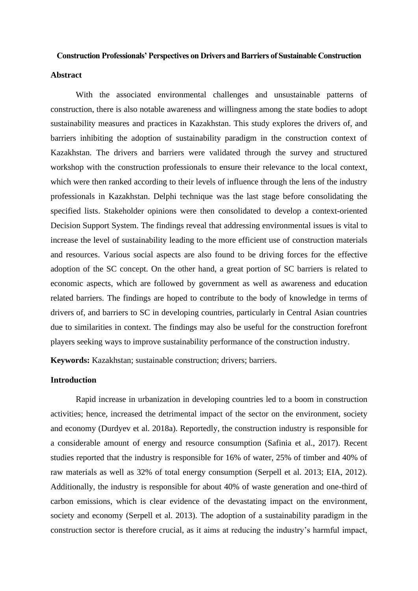#### **Construction Professionals' Perspectives on Drivers and Barriers of Sustainable Construction**

## **Abstract**

With the associated environmental challenges and unsustainable patterns of construction, there is also notable awareness and willingness among the state bodies to adopt sustainability measures and practices in Kazakhstan. This study explores the drivers of, and barriers inhibiting the adoption of sustainability paradigm in the construction context of Kazakhstan. The drivers and barriers were validated through the survey and structured workshop with the construction professionals to ensure their relevance to the local context, which were then ranked according to their levels of influence through the lens of the industry professionals in Kazakhstan. Delphi technique was the last stage before consolidating the specified lists. Stakeholder opinions were then consolidated to develop a context-oriented Decision Support System. The findings reveal that addressing environmental issues is vital to increase the level of sustainability leading to the more efficient use of construction materials and resources. Various social aspects are also found to be driving forces for the effective adoption of the SC concept. On the other hand, a great portion of SC barriers is related to economic aspects, which are followed by government as well as awareness and education related barriers. The findings are hoped to contribute to the body of knowledge in terms of drivers of, and barriers to SC in developing countries, particularly in Central Asian countries due to similarities in context. The findings may also be useful for the construction forefront players seeking ways to improve sustainability performance of the construction industry.

**Keywords:** Kazakhstan; sustainable construction; drivers; barriers.

## **Introduction**

Rapid increase in urbanization in developing countries led to a boom in construction activities; hence, increased the detrimental impact of the sector on the environment, society and economy (Durdyev et al. 2018a). Reportedly, the construction industry is responsible for a considerable amount of energy and resource consumption (Safinia et al., 2017). Recent studies reported that the industry is responsible for 16% of water, 25% of timber and 40% of raw materials as well as 32% of total energy consumption (Serpell et al. 2013; EIA, 2012). Additionally, the industry is responsible for about 40% of waste generation and one-third of carbon emissions, which is clear evidence of the devastating impact on the environment, society and economy (Serpell et al. 2013). The adoption of a sustainability paradigm in the construction sector is therefore crucial, as it aims at reducing the industry's harmful impact,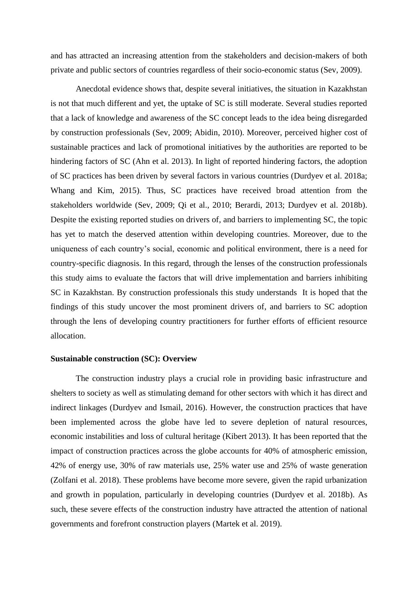and has attracted an increasing attention from the stakeholders and decision-makers of both private and public sectors of countries regardless of their socio-economic status (Sev, 2009).

Anecdotal evidence shows that, despite several initiatives, the situation in Kazakhstan is not that much different and yet, the uptake of SC is still moderate. Several studies reported that a lack of knowledge and awareness of the SC concept leads to the idea being disregarded by construction professionals (Sev, 2009; Abidin, 2010). Moreover, perceived higher cost of sustainable practices and lack of promotional initiatives by the authorities are reported to be hindering factors of SC (Ahn et al. 2013). In light of reported hindering factors, the adoption of SC practices has been driven by several factors in various countries (Durdyev et al. 2018a; Whang and Kim, 2015). Thus, SC practices have received broad attention from the stakeholders worldwide (Sev, 2009; Qi et al., 2010; Berardi, 2013; Durdyev et al. 2018b). Despite the existing reported studies on drivers of, and barriers to implementing SC, the topic has yet to match the deserved attention within developing countries. Moreover, due to the uniqueness of each country's social, economic and political environment, there is a need for country-specific diagnosis. In this regard, through the lenses of the construction professionals this study aims to evaluate the factors that will drive implementation and barriers inhibiting SC in Kazakhstan. By construction professionals this study understands It is hoped that the findings of this study uncover the most prominent drivers of, and barriers to SC adoption through the lens of developing country practitioners for further efforts of efficient resource allocation.

### **Sustainable construction (SC): Overview**

The construction industry plays a crucial role in providing basic infrastructure and shelters to society as well as stimulating demand for other sectors with which it has direct and indirect linkages (Durdyev and Ismail, 2016). However, the construction practices that have been implemented across the globe have led to severe depletion of natural resources, economic instabilities and loss of cultural heritage (Kibert 2013). It has been reported that the impact of construction practices across the globe accounts for 40% of atmospheric emission, 42% of energy use, 30% of raw materials use, 25% water use and 25% of waste generation (Zolfani et al. 2018). These problems have become more severe, given the rapid urbanization and growth in population, particularly in developing countries (Durdyev et al. 2018b). As such, these severe effects of the construction industry have attracted the attention of national governments and forefront construction players (Martek et al. 2019).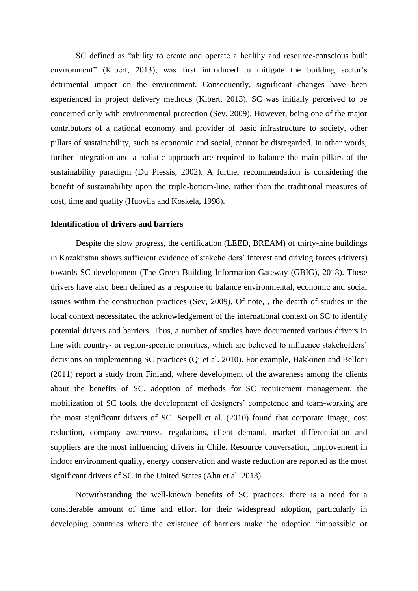SC defined as "ability to create and operate a healthy and resource-conscious built environment" (Kibert, 2013), was first introduced to mitigate the building sector's detrimental impact on the environment. Consequently, significant changes have been experienced in project delivery methods (Kibert, 2013). SC was initially perceived to be concerned only with environmental protection (Sev, 2009). However, being one of the major contributors of a national economy and provider of basic infrastructure to society, other pillars of sustainability, such as economic and social, cannot be disregarded. In other words, further integration and a holistic approach are required to balance the main pillars of the sustainability paradigm (Du Plessis, 2002). A further recommendation is considering the benefit of sustainability upon the triple-bottom-line, rather than the traditional measures of cost, time and quality (Huovila and Koskela, 1998).

## **Identification of drivers and barriers**

Despite the slow progress, the certification (LEED, BREAM) of thirty-nine buildings in Kazakhstan shows sufficient evidence of stakeholders' interest and driving forces (drivers) towards SC development (The Green Building Information Gateway (GBIG), 2018). These drivers have also been defined as a response to balance environmental, economic and social issues within the construction practices (Sev, 2009). Of note, , the dearth of studies in the local context necessitated the acknowledgement of the international context on SC to identify potential drivers and barriers. Thus, a number of studies have documented various drivers in line with country- or region-specific priorities, which are believed to influence stakeholders' decisions on implementing SC practices (Qi et al. 2010). For example, Hakkinen and Belloni (2011) report a study from Finland, where development of the awareness among the clients about the benefits of SC, adoption of methods for SC requirement management, the mobilization of SC tools, the development of designers' competence and team-working are the most significant drivers of SC. Serpell et al. (2010) found that corporate image, cost reduction, company awareness, regulations, client demand, market differentiation and suppliers are the most influencing drivers in Chile. Resource conversation, improvement in indoor environment quality, energy conservation and waste reduction are reported as the most significant drivers of SC in the United States (Ahn et al. 2013).

Notwithstanding the well-known benefits of SC practices, there is a need for a considerable amount of time and effort for their widespread adoption, particularly in developing countries where the existence of barriers make the adoption "impossible or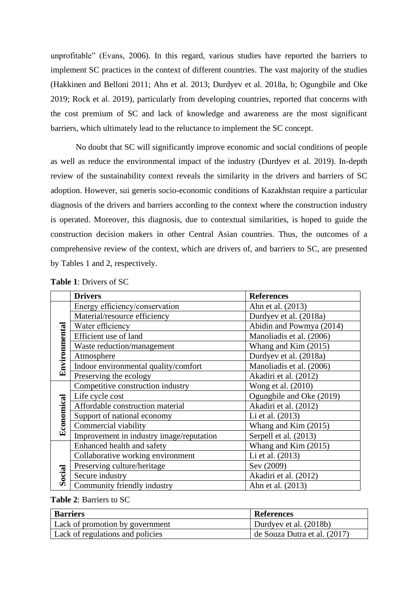unprofitable" (Evans, 2006). In this regard, various studies have reported the barriers to implement SC practices in the context of different countries. The vast majority of the studies (Hakkinen and Belloni 2011; Ahn et al. 2013; Durdyev et al. 2018a, b; Ogungbile and Oke 2019; Rock et al. 2019), particularly from developing countries, reported that concerns with the cost premium of SC and lack of knowledge and awareness are the most significant barriers, which ultimately lead to the reluctance to implement the SC concept.

No doubt that SC will significantly improve economic and social conditions of people as well as reduce the environmental impact of the industry (Durdyev et al. 2019). In-depth review of the sustainability context reveals the similarity in the drivers and barriers of SC adoption. However, sui generis socio-economic conditions of Kazakhstan require a particular diagnosis of the drivers and barriers according to the context where the construction industry is operated. Moreover, this diagnosis, due to contextual similarities, is hoped to guide the construction decision makers in other Central Asian countries. Thus, the outcomes of a comprehensive review of the context, which are drivers of, and barriers to SC, are presented by Tables 1 and 2, respectively.

|               | <b>Drivers</b>                           | <b>References</b>        |
|---------------|------------------------------------------|--------------------------|
|               | Energy efficiency/conservation           | Ahn et al. (2013)        |
|               | Material/resource efficiency             | Durdyev et al. (2018a)   |
|               | Water efficiency                         | Abidin and Powmya (2014) |
|               | Efficient use of land                    | Manoliadis et al. (2006) |
|               | Waste reduction/management               | Whang and Kim (2015)     |
|               | Atmosphere                               | Durdyev et al. (2018a)   |
| Environmental | Indoor environmental quality/comfort     | Manoliadis et al. (2006) |
|               | Preserving the ecology                   | Akadiri et al. (2012)    |
|               | Competitive construction industry        | Wong et al. (2010)       |
|               | Life cycle cost                          | Ogungbile and Oke (2019) |
| Economical    | Affordable construction material         | Akadiri et al. (2012)    |
|               | Support of national economy              | Li et al. (2013)         |
|               | Commercial viability                     | Whang and Kim (2015)     |
|               | Improvement in industry image/reputation | Serpell et al. (2013)    |
|               | Enhanced health and safety               | Whang and Kim (2015)     |
|               | Collaborative working environment        | Li et al. (2013)         |
|               | Preserving culture/heritage              | Sev (2009)               |
| Social        | Secure industry                          | Akadiri et al. (2012)    |
|               | Community friendly industry              | Ahn et al. (2013)        |

| <b>Table 1: Drivers of SC</b> |
|-------------------------------|
|-------------------------------|

### **Table 2**: Barriers to SC

| <b>Barriers</b>                  | <b>References</b>                    |
|----------------------------------|--------------------------------------|
| Lack of promotion by government  | Durdyev et al. (2018b)               |
| Lack of regulations and policies | $\vert$ de Souza Dutra et al. (2017) |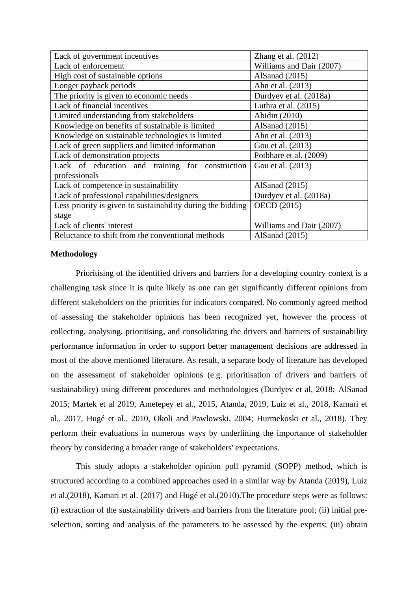| Lack of government incentives                               | Zhang et al. $(2012)$    |  |
|-------------------------------------------------------------|--------------------------|--|
| Lack of enforcement                                         | Williams and Dair (2007) |  |
| High cost of sustainable options                            | AlSanad $(2015)$         |  |
| Longer payback periods                                      | Ahn et al. (2013)        |  |
| The priority is given to economic needs                     | Durdyev et al. (2018a)   |  |
| Lack of financial incentives                                | Luthra et al. $(2015)$   |  |
| Limited understanding from stakeholders                     | Abidin (2010)            |  |
| Knowledge on benefits of sustainable is limited             | AlSanad $(2015)$         |  |
| Knowledge on sustainable technologies is limited            | Ahn et al. (2013)        |  |
| Lack of green suppliers and limited information             | Gou et al. (2013)        |  |
| Lack of demonstration projects                              | Potbhare et al. (2009)   |  |
| Lack of education and training for construction             | Gou et al. (2013)        |  |
| professionals                                               |                          |  |
| Lack of competence in sustainability                        | AlSanad $(2015)$         |  |
| Lack of professional capabilities/designers                 | Durdyev et al. (2018a)   |  |
| Less priority is given to sustainability during the bidding | <b>OECD</b> (2015)       |  |
| stage                                                       |                          |  |
| Lack of clients' interest                                   | Williams and Dair (2007) |  |
| Reluctance to shift from the conventional methods           | AlSanad $(2015)$         |  |

## **Methodology**

Prioritising of the identified drivers and barriers for a developing country context is a challenging task since it is quite likely as one can get significantly different opinions from different stakeholders on the priorities for indicators compared. No commonly agreed method of assessing the stakeholder opinions has been recognized yet, however the process of collecting, analysing, prioritising, and consolidating the drivers and barriers of sustainability performance information in order to support better management decisions are addressed in most of the above mentioned literature. As result, a separate body of literature has developed on the assessment of stakeholder opinions (e.g. prioritisation of drivers and barriers of sustainability) using different procedures and methodologies (Durdyev et al, 2018; AlSanad 2015; Martek et al 2019, Ametepey et al., 2015, Atanda, 2019, Luiz et al., 2018, Kamari et al., 2017, Hugé et al., 2010, Okoli and Pawlowski, 2004; Hurmekoski et al., 2018). They perform their evaluations in numerous ways by underlining the importance of stakeholder theory by considering a broader range of stakeholders' expectations.

This study adopts a stakeholder opinion poll pyramid (SOPP) method, which is structured according to a combined approaches used in a similar way by Atanda (2019), Luiz et al.(2018), Kamari et al. (2017) and Hugé et al.(2010).The procedure steps were as follows: (i) extraction of the sustainability drivers and barriers from the literature pool; (ii) initial preselection, sorting and analysis of the parameters to be assessed by the experts; (iii) obtain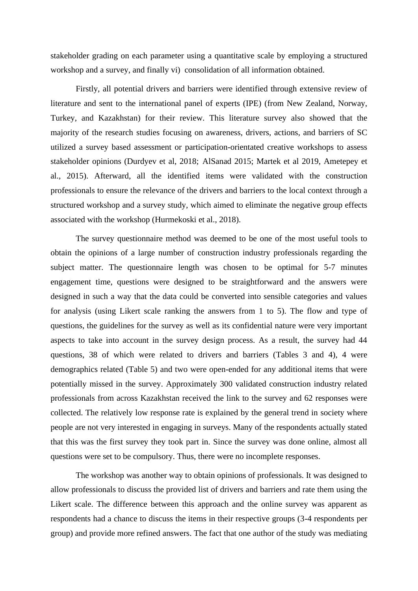stakeholder grading on each parameter using a quantitative scale by employing a structured workshop and a survey, and finally vi) consolidation of all information obtained.

Firstly, all potential drivers and barriers were identified through extensive review of literature and sent to the international panel of experts (IPE) (from New Zealand, Norway, Turkey, and Kazakhstan) for their review. This literature survey also showed that the majority of the research studies focusing on awareness, drivers, actions, and barriers of SC utilized a survey based assessment or participation-orientated creative workshops to assess stakeholder opinions (Durdyev et al, 2018; AlSanad 2015; Martek et al 2019, Ametepey et al., 2015). Afterward, all the identified items were validated with the construction professionals to ensure the relevance of the drivers and barriers to the local context through a structured workshop and a survey study, which aimed to eliminate the negative group effects associated with the workshop (Hurmekoski et al., 2018).

The survey questionnaire method was deemed to be one of the most useful tools to obtain the opinions of a large number of construction industry professionals regarding the subject matter. The questionnaire length was chosen to be optimal for 5-7 minutes engagement time, questions were designed to be straightforward and the answers were designed in such a way that the data could be converted into sensible categories and values for analysis (using Likert scale ranking the answers from 1 to 5). The flow and type of questions, the guidelines for the survey as well as its confidential nature were very important aspects to take into account in the survey design process. As a result, the survey had 44 questions, 38 of which were related to drivers and barriers (Tables 3 and 4), 4 were demographics related (Table 5) and two were open-ended for any additional items that were potentially missed in the survey. Approximately 300 validated construction industry related professionals from across Kazakhstan received the link to the survey and 62 responses were collected. The relatively low response rate is explained by the general trend in society where people are not very interested in engaging in surveys. Many of the respondents actually stated that this was the first survey they took part in. Since the survey was done online, almost all questions were set to be compulsory. Thus, there were no incomplete responses.

The workshop was another way to obtain opinions of professionals. It was designed to allow professionals to discuss the provided list of drivers and barriers and rate them using the Likert scale. The difference between this approach and the online survey was apparent as respondents had a chance to discuss the items in their respective groups (3-4 respondents per group) and provide more refined answers. The fact that one author of the study was mediating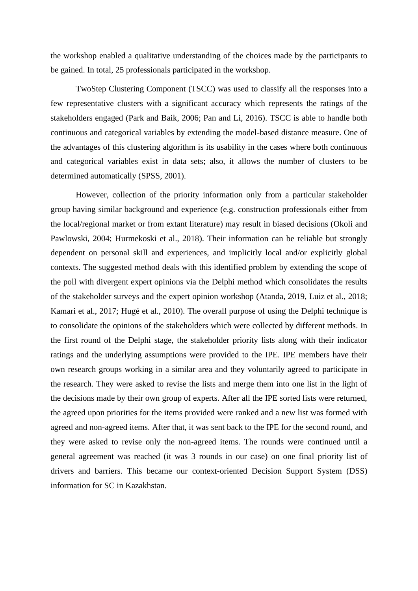the workshop enabled a qualitative understanding of the choices made by the participants to be gained. In total, 25 professionals participated in the workshop.

TwoStep Clustering Component (TSCC) was used to classify all the responses into a few representative clusters with a significant accuracy which represents the ratings of the stakeholders engaged (Park and Baik, 2006; Pan and Li, 2016). TSCC is able to handle both continuous and categorical variables by extending the model-based distance measure. One of the advantages of this clustering algorithm is its usability in the cases where both continuous and categorical variables exist in data sets; also, it allows the number of clusters to be determined automatically (SPSS, 2001).

However, collection of the priority information only from a particular stakeholder group having similar background and experience (e.g. construction professionals either from the local/regional market or from extant literature) may result in biased decisions (Okoli and Pawlowski, 2004; Hurmekoski et al., 2018). Their information can be reliable but strongly dependent on personal skill and experiences, and implicitly local and/or explicitly global contexts. The suggested method deals with this identified problem by extending the scope of the poll with divergent expert opinions via the Delphi method which consolidates the results of the stakeholder surveys and the expert opinion workshop (Atanda, 2019, Luiz et al., 2018; Kamari et al., 2017; Hugé et al., 2010). The overall purpose of using the Delphi technique is to consolidate the opinions of the stakeholders which were collected by different methods. In the first round of the Delphi stage, the stakeholder priority lists along with their indicator ratings and the underlying assumptions were provided to the IPE. IPE members have their own research groups working in a similar area and they voluntarily agreed to participate in the research. They were asked to revise the lists and merge them into one list in the light of the decisions made by their own group of experts. After all the IPE sorted lists were returned, the agreed upon priorities for the items provided were ranked and a new list was formed with agreed and non-agreed items. After that, it was sent back to the IPE for the second round, and they were asked to revise only the non-agreed items. The rounds were continued until a general agreement was reached (it was 3 rounds in our case) on one final priority list of drivers and barriers. This became our context-oriented Decision Support System (DSS) information for SC in Kazakhstan.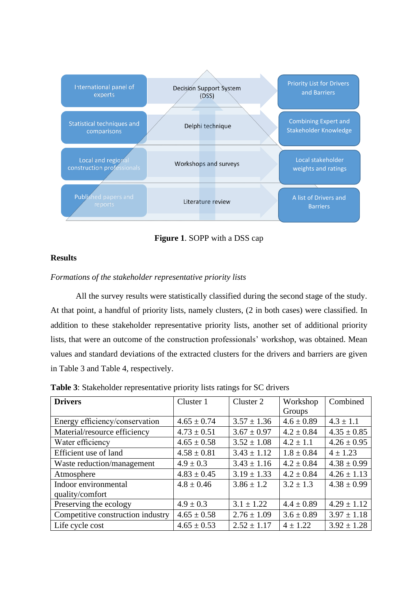

**Figure 1**. SOPP with a DSS cap

# **Results**

# *Formations of the stakeholder representative priority lists*

All the survey results were statistically classified during the second stage of the study. At that point, a handful of priority lists, namely clusters, (2 in both cases) were classified. In addition to these stakeholder representative priority lists, another set of additional priority lists, that were an outcome of the construction professionals' workshop, was obtained. Mean values and standard deviations of the extracted clusters for the drivers and barriers are given in Table 3 and Table 4, respectively.

| <b>Drivers</b>                    | Cluster 1       | Cluster 2       | Workshop       | Combined        |
|-----------------------------------|-----------------|-----------------|----------------|-----------------|
|                                   |                 |                 | Groups         |                 |
| Energy efficiency/conservation    | $4.65 \pm 0.74$ | $3.57 \pm 1.36$ | $4.6 \pm 0.89$ | $4.3 \pm 1.1$   |
| Material/resource efficiency      | $4.73 \pm 0.51$ | $3.67 \pm 0.97$ | $4.2 \pm 0.84$ | $4.35 \pm 0.85$ |
| Water efficiency                  | $4.65 \pm 0.58$ | $3.52 \pm 1.08$ | $4.2 \pm 1.1$  | $4.26 \pm 0.95$ |
| Efficient use of land             | $4.58 \pm 0.81$ | $3.43 \pm 1.12$ | $1.8 \pm 0.84$ | $4 \pm 1.23$    |
| Waste reduction/management        | $4.9 \pm 0.3$   | $3.43 \pm 1.16$ | $4.2 \pm 0.84$ | $4.38 \pm 0.99$ |
| Atmosphere                        | $4.83 \pm 0.45$ | $3.19 \pm 1.33$ | $4.2 \pm 0.84$ | $4.26 \pm 1.13$ |
| Indoor environmental              | $4.8 \pm 0.46$  | $3.86 \pm 1.2$  | $3.2 \pm 1.3$  | $4.38 \pm 0.99$ |
| quality/comfort                   |                 |                 |                |                 |
| Preserving the ecology            | $4.9 \pm 0.3$   | $3.1 \pm 1.22$  | $4.4 \pm 0.89$ | $4.29 \pm 1.12$ |
| Competitive construction industry | $4.65 \pm 0.58$ | $2.76 \pm 1.09$ | $3.6 \pm 0.89$ | $3.97 \pm 1.18$ |
| Life cycle cost                   | $4.65 \pm 0.53$ | $2.52 \pm 1.17$ | $4 \pm 1.22$   | $3.92 \pm 1.28$ |

**Table 3**: Stakeholder representative priority lists ratings for SC drivers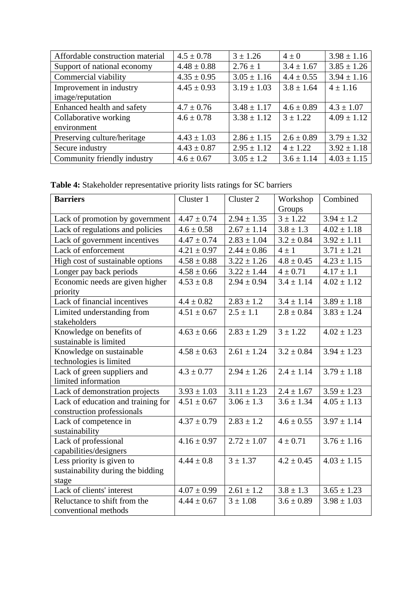| Affordable construction material | $4.5 \pm 0.78$  | $3 \pm 1.26$    | $4\pm0$        | $3.98 \pm 1.16$ |
|----------------------------------|-----------------|-----------------|----------------|-----------------|
| Support of national economy      | $4.48 \pm 0.88$ | $2.76 \pm 1$    | $3.4 \pm 1.67$ | $3.85 \pm 1.26$ |
| Commercial viability             | $4.35 \pm 0.95$ | $3.05 \pm 1.16$ | $4.4 \pm 0.55$ | $3.94 \pm 1.16$ |
| Improvement in industry          | $4.45 \pm 0.93$ | $3.19 \pm 1.03$ | $3.8 \pm 1.64$ | $4 \pm 1.16$    |
| image/reputation                 |                 |                 |                |                 |
| Enhanced health and safety       | $4.7 \pm 0.76$  | $3.48 \pm 1.17$ | $4.6 \pm 0.89$ | $4.3 \pm 1.07$  |
| Collaborative working            | $4.6 \pm 0.78$  | $3.38 \pm 1.12$ | $3 \pm 1.22$   | $4.09 \pm 1.12$ |
| environment                      |                 |                 |                |                 |
| Preserving culture/heritage      | $4.43 \pm 1.03$ | $2.86 \pm 1.15$ | $2.6 \pm 0.89$ | $3.79 \pm 1.32$ |
| Secure industry                  | $4.43 \pm 0.87$ | $2.95 \pm 1.12$ | $4 \pm 1.22$   | $3.92 \pm 1.18$ |
| Community friendly industry      | $4.6 \pm 0.67$  | $3.05 \pm 1.2$  | $3.6 \pm 1.14$ | $4.03 \pm 1.15$ |

**Table 4:** Stakeholder representative priority lists ratings for SC barriers

| <b>Barriers</b>                    | Cluster 1       | Cluster 2       | Workshop       | Combined        |
|------------------------------------|-----------------|-----------------|----------------|-----------------|
|                                    |                 |                 | Groups         |                 |
| Lack of promotion by government    | $4.47 \pm 0.74$ | $2.94 \pm 1.35$ | $3 \pm 1.22$   | $3.94 \pm 1.2$  |
| Lack of regulations and policies   | $4.6 \pm 0.58$  | $2.67 \pm 1.14$ | $3.8 \pm 1.3$  | $4.02 \pm 1.18$ |
| Lack of government incentives      | $4.47 \pm 0.74$ | $2.83 \pm 1.04$ | $3.2 \pm 0.84$ | $3.92 \pm 1.11$ |
| Lack of enforcement                | $4.21 \pm 0.97$ | $2.44 \pm 0.86$ | $4 \pm 1$      | $3.71 \pm 1.21$ |
| High cost of sustainable options   | $4.58 \pm 0.88$ | $3.22 \pm 1.26$ | $4.8 \pm 0.45$ | $4.23 \pm 1.15$ |
| Longer pay back periods            | $4.58 \pm 0.66$ | $3.22 \pm 1.44$ | $4 \pm 0.71$   | $4.17 \pm 1.1$  |
| Economic needs are given higher    | $4.53 \pm 0.8$  | $2.94 \pm 0.94$ | $3.4 \pm 1.14$ | $4.02 \pm 1.12$ |
| priority                           |                 |                 |                |                 |
| Lack of financial incentives       | $4.4 \pm 0.82$  | $2.83 \pm 1.2$  | $3.4 \pm 1.14$ | $3.89 \pm 1.18$ |
| Limited understanding from         | $4.51 \pm 0.67$ | $2.5 \pm 1.1$   | $2.8 \pm 0.84$ | $3.83 \pm 1.24$ |
| stakeholders                       |                 |                 |                |                 |
| Knowledge on benefits of           | $4.63 \pm 0.66$ | $2.83 \pm 1.29$ | $3 \pm 1.22$   | $4.02 \pm 1.23$ |
| sustainable is limited             |                 |                 |                |                 |
| Knowledge on sustainable           | $4.58 \pm 0.63$ | $2.61 \pm 1.24$ | $3.2 \pm 0.84$ | $3.94 \pm 1.23$ |
| technologies is limited            |                 |                 |                |                 |
| Lack of green suppliers and        | $4.3 \pm 0.77$  | $2.94 \pm 1.26$ | $2.4 \pm 1.14$ | $3.79 \pm 1.18$ |
| limited information                |                 |                 |                |                 |
| Lack of demonstration projects     | $3.93 \pm 1.03$ | $3.11 \pm 1.23$ | $2.4 \pm 1.67$ | $3.59 \pm 1.23$ |
| Lack of education and training for | $4.51 \pm 0.67$ | $3.06 \pm 1.3$  | $3.6 \pm 1.34$ | $4.05 \pm 1.13$ |
| construction professionals         |                 |                 |                |                 |
| Lack of competence in              | $4.37 \pm 0.79$ | $2.83 \pm 1.2$  | $4.6 \pm 0.55$ | $3.97 \pm 1.14$ |
| sustainability                     |                 |                 |                |                 |
| Lack of professional               | $4.16 \pm 0.97$ | $2.72 \pm 1.07$ | $4 \pm 0.71$   | $3.76 \pm 1.16$ |
| capabilities/designers             |                 |                 |                |                 |
| Less priority is given to          | $4.44 \pm 0.8$  | $3 \pm 1.37$    | $4.2 \pm 0.45$ | $4.03 \pm 1.15$ |
| sustainability during the bidding  |                 |                 |                |                 |
| stage                              |                 |                 |                |                 |
| Lack of clients' interest          | $4.07 \pm 0.99$ | $2.61 \pm 1.2$  | $3.8 \pm 1.3$  | $3.65 \pm 1.23$ |
| Reluctance to shift from the       | $4.44 \pm 0.67$ | $3 \pm 1.08$    | $3.6 \pm 0.89$ | $3.98 \pm 1.03$ |
| conventional methods               |                 |                 |                |                 |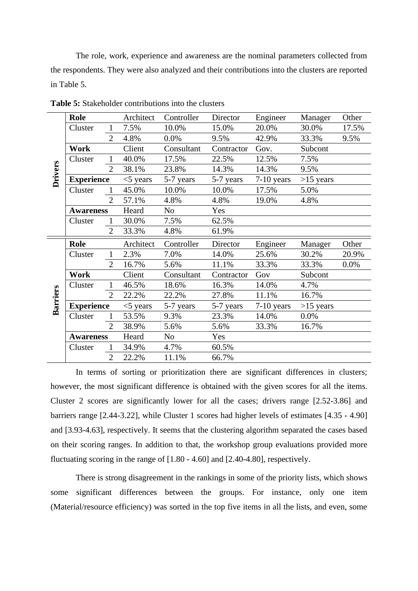The role, work, experience and awareness are the nominal parameters collected from the respondents. They were also analyzed and their contributions into the clusters are reported in Table 5.

|                 | <b>Role</b>       |                | Architect   | Controller     | Director   | Engineer     | Manager     | Other |
|-----------------|-------------------|----------------|-------------|----------------|------------|--------------|-------------|-------|
|                 | Cluster           | $\mathbf{1}$   | 7.5%        | 10.0%          | 15.0%      | 20.0%        | 30.0%       | 17.5% |
|                 |                   | $\overline{2}$ | 4.8%        | 0.0%           | 9.5%       | 42.9%        | 33.3%       | 9.5%  |
|                 | Work              |                | Client      | Consultant     | Contractor | Gov.         | Subcont     |       |
|                 | Cluster           | $\mathbf{1}$   | 40.0%       | 17.5%          | 22.5%      | 12.5%        | 7.5%        |       |
|                 |                   | $\overline{2}$ | 38.1%       | 23.8%          | 14.3%      | 14.3%        | 9.5%        |       |
| Drivers         | <b>Experience</b> |                | $<$ 5 years | 5-7 years      | 5-7 years  | $7-10$ years | $>15$ years |       |
|                 | Cluster           | $\mathbf{1}$   | 45.0%       | 10.0%          | 10.0%      | 17.5%        | 5.0%        |       |
|                 |                   | $\overline{2}$ | 57.1%       | 4.8%           | 4.8%       | 19.0%        | 4.8%        |       |
|                 | <b>Awareness</b>  |                | Heard       | No             | Yes        |              |             |       |
|                 | Cluster           | $\mathbf{1}$   | 30.0%       | 7.5%           | 62.5%      |              |             |       |
|                 |                   | $\overline{2}$ | 33.3%       | 4.8%           | 61.9%      |              |             |       |
|                 |                   |                |             |                |            |              |             |       |
|                 | <b>Role</b>       |                | Architect   | Controller     | Director   | Engineer     | Manager     | Other |
|                 | Cluster           | $\mathbf{1}$   | 2.3%        | 7.0%           | 14.0%      | 25.6%        | 30.2%       | 20.9% |
|                 |                   | 2              | 16.7%       | 5.6%           | 11.1%      | 33.3%        | 33.3%       | 0.0%  |
|                 | Work              |                | Client      | Consultant     | Contractor | Gov          | Subcont     |       |
|                 | Cluster           | $\mathbf{1}$   | 46.5%       | 18.6%          | 16.3%      | 14.0%        | 4.7%        |       |
|                 |                   | $\overline{2}$ | 22.2%       | 22.2%          | 27.8%      | 11.1%        | 16.7%       |       |
|                 | <b>Experience</b> |                | $<$ 5 years | 5-7 years      | 5-7 years  | $7-10$ years | $>15$ years |       |
| <b>Barriers</b> | Cluster           | $\mathbf{1}$   | 53.5%       | 9.3%           | 23.3%      | 14.0%        | 0.0%        |       |
|                 |                   | $\overline{2}$ | 38.9%       | 5.6%           | 5.6%       | 33.3%        | 16.7%       |       |
|                 | <b>Awareness</b>  |                | Heard       | N <sub>o</sub> | Yes        |              |             |       |
|                 | Cluster           | $\mathbf{1}$   | 34.9%       | 4.7%           | 60.5%      |              |             |       |

**Table 5:** Stakeholder contributions into the clusters

In terms of sorting or prioritization there are significant differences in clusters; however, the most significant difference is obtained with the given scores for all the items. Cluster 2 scores are significantly lower for all the cases; drivers range [2.52-3.86] and barriers range [2.44-3.22], while Cluster 1 scores had higher levels of estimates [4.35 - 4.90] and [3.93-4.63], respectively. It seems that the clustering algorithm separated the cases based on their scoring ranges. In addition to that, the workshop group evaluations provided more fluctuating scoring in the range of [1.80 - 4.60] and [2.40-4.80], respectively.

There is strong disagreement in the rankings in some of the priority lists, which shows some significant differences between the groups. For instance, only one item (Material/resource efficiency) was sorted in the top five items in all the lists, and even, some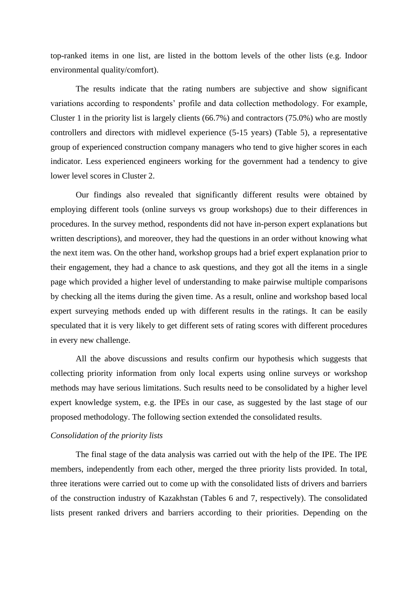top-ranked items in one list, are listed in the bottom levels of the other lists (e.g. Indoor environmental quality/comfort).

The results indicate that the rating numbers are subjective and show significant variations according to respondents' profile and data collection methodology. For example, Cluster 1 in the priority list is largely clients (66.7%) and contractors (75.0%) who are mostly controllers and directors with midlevel experience (5-15 years) (Table 5), a representative group of experienced construction company managers who tend to give higher scores in each indicator. Less experienced engineers working for the government had a tendency to give lower level scores in Cluster 2.

Our findings also revealed that significantly different results were obtained by employing different tools (online surveys vs group workshops) due to their differences in procedures. In the survey method, respondents did not have in-person expert explanations but written descriptions), and moreover, they had the questions in an order without knowing what the next item was. On the other hand, workshop groups had a brief expert explanation prior to their engagement, they had a chance to ask questions, and they got all the items in a single page which provided a higher level of understanding to make pairwise multiple comparisons by checking all the items during the given time. As a result, online and workshop based local expert surveying methods ended up with different results in the ratings. It can be easily speculated that it is very likely to get different sets of rating scores with different procedures in every new challenge.

All the above discussions and results confirm our hypothesis which suggests that collecting priority information from only local experts using online surveys or workshop methods may have serious limitations. Such results need to be consolidated by a higher level expert knowledge system, e.g. the IPEs in our case, as suggested by the last stage of our proposed methodology. The following section extended the consolidated results.

### *Consolidation of the priority lists*

The final stage of the data analysis was carried out with the help of the IPE. The IPE members, independently from each other, merged the three priority lists provided. In total, three iterations were carried out to come up with the consolidated lists of drivers and barriers of the construction industry of Kazakhstan (Tables 6 and 7, respectively). The consolidated lists present ranked drivers and barriers according to their priorities. Depending on the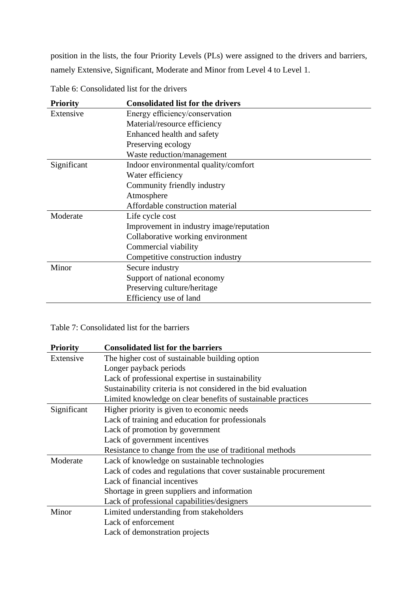position in the lists, the four Priority Levels (PLs) were assigned to the drivers and barriers, namely Extensive, Significant, Moderate and Minor from Level 4 to Level 1.

| <b>Priority</b> | <b>Consolidated list for the drivers</b> |
|-----------------|------------------------------------------|
| Extensive       | Energy efficiency/conservation           |
|                 | Material/resource efficiency             |
|                 | Enhanced health and safety               |
|                 | Preserving ecology                       |
|                 | Waste reduction/management               |
| Significant     | Indoor environmental quality/comfort     |
|                 | Water efficiency                         |
|                 | Community friendly industry              |
|                 | Atmosphere                               |
|                 | Affordable construction material         |
| Moderate        | Life cycle cost                          |
|                 | Improvement in industry image/reputation |
|                 | Collaborative working environment        |
|                 | Commercial viability                     |
|                 | Competitive construction industry        |
| Minor           | Secure industry                          |
|                 | Support of national economy              |
|                 | Preserving culture/heritage              |
|                 | Efficiency use of land                   |

Table 6: Consolidated list for the drivers

Table 7: Consolidated list for the barriers

| <b>Priority</b> | <b>Consolidated list for the barriers</b>                        |
|-----------------|------------------------------------------------------------------|
| Extensive       | The higher cost of sustainable building option                   |
|                 | Longer payback periods                                           |
|                 | Lack of professional expertise in sustainability                 |
|                 | Sustainability criteria is not considered in the bid evaluation  |
|                 | Limited knowledge on clear benefits of sustainable practices     |
| Significant     | Higher priority is given to economic needs                       |
|                 | Lack of training and education for professionals                 |
|                 | Lack of promotion by government                                  |
|                 | Lack of government incentives                                    |
|                 | Resistance to change from the use of traditional methods         |
| Moderate        | Lack of knowledge on sustainable technologies                    |
|                 | Lack of codes and regulations that cover sustainable procurement |
|                 | Lack of financial incentives                                     |
|                 | Shortage in green suppliers and information                      |
|                 | Lack of professional capabilities/designers                      |
| Minor           | Limited understanding from stakeholders                          |
|                 | Lack of enforcement                                              |
|                 | Lack of demonstration projects                                   |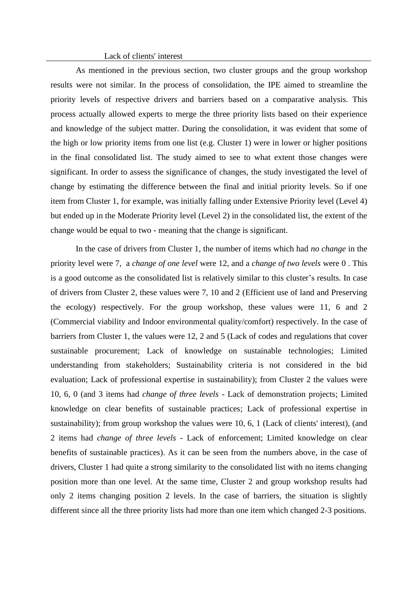Lack of clients' interest

As mentioned in the previous section, two cluster groups and the group workshop results were not similar. In the process of consolidation, the IPE aimed to streamline the priority levels of respective drivers and barriers based on a comparative analysis. This process actually allowed experts to merge the three priority lists based on their experience and knowledge of the subject matter. During the consolidation, it was evident that some of the high or low priority items from one list (e.g. Cluster 1) were in lower or higher positions in the final consolidated list. The study aimed to see to what extent those changes were significant. In order to assess the significance of changes, the study investigated the level of change by estimating the difference between the final and initial priority levels. So if one item from Cluster 1, for example, was initially falling under Extensive Priority level (Level 4) but ended up in the Moderate Priority level (Level 2) in the consolidated list, the extent of the change would be equal to two - meaning that the change is significant.

In the case of drivers from Cluster 1, the number of items which had *no change* in the priority level were 7, a *change of one level* were 12, and a *change of two levels* were 0 . This is a good outcome as the consolidated list is relatively similar to this cluster's results. In case of drivers from Cluster 2, these values were 7, 10 and 2 (Efficient use of land and Preserving the ecology) respectively. For the group workshop, these values were 11, 6 and 2 (Commercial viability and Indoor environmental quality/comfort) respectively. In the case of barriers from Cluster 1, the values were 12, 2 and 5 (Lack of codes and regulations that cover sustainable procurement; Lack of knowledge on sustainable technologies; Limited understanding from stakeholders; Sustainability criteria is not considered in the bid evaluation; Lack of professional expertise in sustainability); from Cluster 2 the values were 10, 6, 0 (and 3 items had *change of three levels* - Lack of demonstration projects; Limited knowledge on clear benefits of sustainable practices; Lack of professional expertise in sustainability); from group workshop the values were 10, 6, 1 (Lack of clients' interest), (and 2 items had *change of three levels -* Lack of enforcement; Limited knowledge on clear benefits of sustainable practices). As it can be seen from the numbers above, in the case of drivers, Cluster 1 had quite a strong similarity to the consolidated list with no items changing position more than one level. At the same time, Cluster 2 and group workshop results had only 2 items changing position 2 levels. In the case of barriers, the situation is slightly different since all the three priority lists had more than one item which changed 2-3 positions.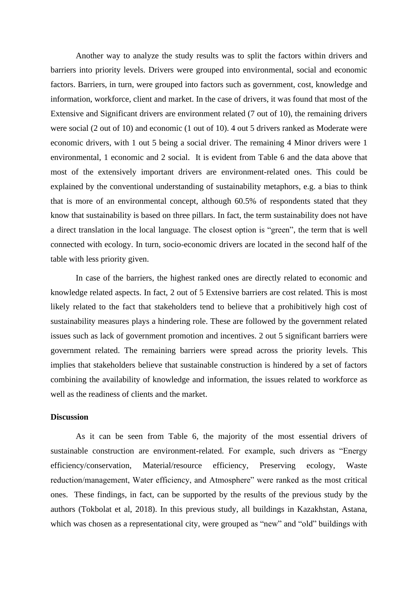Another way to analyze the study results was to split the factors within drivers and barriers into priority levels. Drivers were grouped into environmental, social and economic factors. Barriers, in turn, were grouped into factors such as government, cost, knowledge and information, workforce, client and market. In the case of drivers, it was found that most of the Extensive and Significant drivers are environment related (7 out of 10), the remaining drivers were social (2 out of 10) and economic (1 out of 10). 4 out 5 drivers ranked as Moderate were economic drivers, with 1 out 5 being a social driver. The remaining 4 Minor drivers were 1 environmental, 1 economic and 2 social. It is evident from Table 6 and the data above that most of the extensively important drivers are environment-related ones. This could be explained by the conventional understanding of sustainability metaphors, e.g. a bias to think that is more of an environmental concept, although 60.5% of respondents stated that they know that sustainability is based on three pillars. In fact, the term sustainability does not have a direct translation in the local language. The closest option is "green", the term that is well connected with ecology. In turn, socio-economic drivers are located in the second half of the table with less priority given.

In case of the barriers, the highest ranked ones are directly related to economic and knowledge related aspects. In fact, 2 out of 5 Extensive barriers are cost related. This is most likely related to the fact that stakeholders tend to believe that a prohibitively high cost of sustainability measures plays a hindering role. These are followed by the government related issues such as lack of government promotion and incentives. 2 out 5 significant barriers were government related. The remaining barriers were spread across the priority levels. This implies that stakeholders believe that sustainable construction is hindered by a set of factors combining the availability of knowledge and information, the issues related to workforce as well as the readiness of clients and the market.

### **Discussion**

As it can be seen from Table 6, the majority of the most essential drivers of sustainable construction are environment-related. For example, such drivers as "Energy efficiency/conservation, Material/resource efficiency, Preserving ecology, Waste reduction/management, Water efficiency, and Atmosphere" were ranked as the most critical ones. These findings, in fact, can be supported by the results of the previous study by the authors (Tokbolat et al, 2018). In this previous study, all buildings in Kazakhstan, Astana, which was chosen as a representational city, were grouped as "new" and "old" buildings with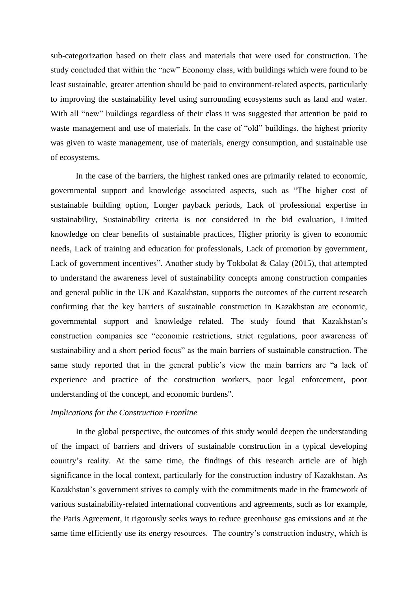sub-categorization based on their class and materials that were used for construction. The study concluded that within the "new" Economy class, with buildings which were found to be least sustainable, greater attention should be paid to environment-related aspects, particularly to improving the sustainability level using surrounding ecosystems such as land and water. With all "new" buildings regardless of their class it was suggested that attention be paid to waste management and use of materials. In the case of "old" buildings, the highest priority was given to waste management, use of materials, energy consumption, and sustainable use of ecosystems.

In the case of the barriers, the highest ranked ones are primarily related to economic, governmental support and knowledge associated aspects, such as "The higher cost of sustainable building option, Longer payback periods, Lack of professional expertise in sustainability, Sustainability criteria is not considered in the bid evaluation, Limited knowledge on clear benefits of sustainable practices, Higher priority is given to economic needs, Lack of training and education for professionals, Lack of promotion by government, Lack of government incentives". Another study by Tokbolat & Calay (2015), that attempted to understand the awareness level of sustainability concepts among construction companies and general public in the UK and Kazakhstan, supports the outcomes of the current research confirming that the key barriers of sustainable construction in Kazakhstan are economic, governmental support and knowledge related. The study found that Kazakhstan's construction companies see "economic restrictions, strict regulations, poor awareness of sustainability and a short period focus" as the main barriers of sustainable construction. The same study reported that in the general public's view the main barriers are "a lack of experience and practice of the construction workers, poor legal enforcement, poor understanding of the concept, and economic burdens".

#### *Implications for the Construction Frontline*

In the global perspective, the outcomes of this study would deepen the understanding of the impact of barriers and drivers of sustainable construction in a typical developing country's reality. At the same time, the findings of this research article are of high significance in the local context, particularly for the construction industry of Kazakhstan. As Kazakhstan's government strives to comply with the commitments made in the framework of various sustainability-related international conventions and agreements, such as for example, the Paris Agreement, it rigorously seeks ways to reduce greenhouse gas emissions and at the same time efficiently use its energy resources. The country's construction industry, which is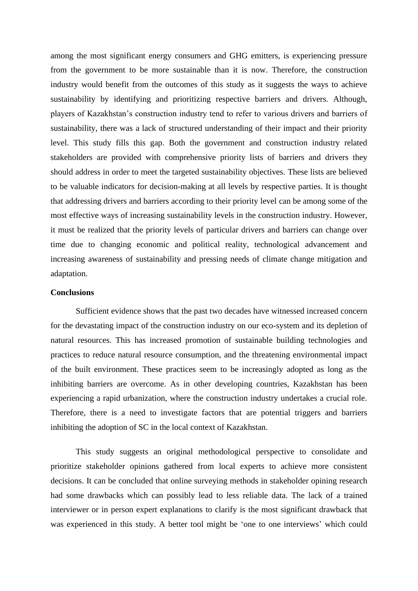among the most significant energy consumers and GHG emitters, is experiencing pressure from the government to be more sustainable than it is now. Therefore, the construction industry would benefit from the outcomes of this study as it suggests the ways to achieve sustainability by identifying and prioritizing respective barriers and drivers. Although, players of Kazakhstan's construction industry tend to refer to various drivers and barriers of sustainability, there was a lack of structured understanding of their impact and their priority level. This study fills this gap. Both the government and construction industry related stakeholders are provided with comprehensive priority lists of barriers and drivers they should address in order to meet the targeted sustainability objectives. These lists are believed to be valuable indicators for decision-making at all levels by respective parties. It is thought that addressing drivers and barriers according to their priority level can be among some of the most effective ways of increasing sustainability levels in the construction industry. However, it must be realized that the priority levels of particular drivers and barriers can change over time due to changing economic and political reality, technological advancement and increasing awareness of sustainability and pressing needs of climate change mitigation and adaptation.

## **Conclusions**

Sufficient evidence shows that the past two decades have witnessed increased concern for the devastating impact of the construction industry on our eco-system and its depletion of natural resources. This has increased promotion of sustainable building technologies and practices to reduce natural resource consumption, and the threatening environmental impact of the built environment. These practices seem to be increasingly adopted as long as the inhibiting barriers are overcome. As in other developing countries, Kazakhstan has been experiencing a rapid urbanization, where the construction industry undertakes a crucial role. Therefore, there is a need to investigate factors that are potential triggers and barriers inhibiting the adoption of SC in the local context of Kazakhstan.

This study suggests an original methodological perspective to consolidate and prioritize stakeholder opinions gathered from local experts to achieve more consistent decisions. It can be concluded that online surveying methods in stakeholder opining research had some drawbacks which can possibly lead to less reliable data. The lack of a trained interviewer or in person expert explanations to clarify is the most significant drawback that was experienced in this study. A better tool might be 'one to one interviews' which could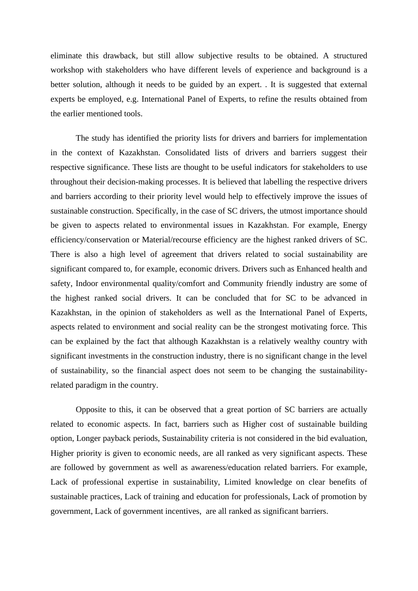eliminate this drawback, but still allow subjective results to be obtained. A structured workshop with stakeholders who have different levels of experience and background is a better solution, although it needs to be guided by an expert. . It is suggested that external experts be employed, e.g. International Panel of Experts, to refine the results obtained from the earlier mentioned tools.

The study has identified the priority lists for drivers and barriers for implementation in the context of Kazakhstan. Consolidated lists of drivers and barriers suggest their respective significance. These lists are thought to be useful indicators for stakeholders to use throughout their decision-making processes. It is believed that labelling the respective drivers and barriers according to their priority level would help to effectively improve the issues of sustainable construction. Specifically, in the case of SC drivers, the utmost importance should be given to aspects related to environmental issues in Kazakhstan. For example, Energy efficiency/conservation or Material/recourse efficiency are the highest ranked drivers of SC. There is also a high level of agreement that drivers related to social sustainability are significant compared to, for example, economic drivers. Drivers such as Enhanced health and safety, Indoor environmental quality/comfort and Community friendly industry are some of the highest ranked social drivers. It can be concluded that for SC to be advanced in Kazakhstan, in the opinion of stakeholders as well as the International Panel of Experts, aspects related to environment and social reality can be the strongest motivating force. This can be explained by the fact that although Kazakhstan is a relatively wealthy country with significant investments in the construction industry, there is no significant change in the level of sustainability, so the financial aspect does not seem to be changing the sustainabilityrelated paradigm in the country.

Opposite to this, it can be observed that a great portion of SC barriers are actually related to economic aspects. In fact, barriers such as Higher cost of sustainable building option, Longer payback periods, Sustainability criteria is not considered in the bid evaluation, Higher priority is given to economic needs, are all ranked as very significant aspects. These are followed by government as well as awareness/education related barriers. For example, Lack of professional expertise in sustainability, Limited knowledge on clear benefits of sustainable practices, Lack of training and education for professionals, Lack of promotion by government, Lack of government incentives, are all ranked as significant barriers.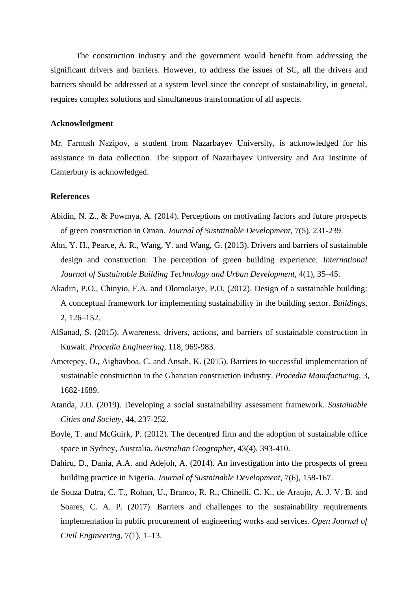The construction industry and the government would benefit from addressing the significant drivers and barriers. However, to address the issues of SC, all the drivers and barriers should be addressed at a system level since the concept of sustainability, in general, requires complex solutions and simultaneous transformation of all aspects.

### **Acknowledgment**

Mr. Farnush Nazipov, a student from Nazarbayev University, is acknowledged for his assistance in data collection. The support of Nazarbayev University and Ara Institute of Canterbury is acknowledged.

### **References**

- Abidin, N. Z., & Powmya, A. (2014). Perceptions on motivating factors and future prospects of green construction in Oman. *Journal of Sustainable Development*, 7(5), 231-239.
- Ahn, Y. H., Pearce, A. R., Wang, Y. and Wang, G. (2013). Drivers and barriers of sustainable design and construction: The perception of green building experience. *International Journal of Sustainable Building Technology and Urban Development*, 4(1), 35–45.
- Akadiri, P.O., Chinyio, E.A. and Olomolaiye, P.O. (2012). Design of a sustainable building: A conceptual framework for implementing sustainability in the building sector. *Buildings*, 2, 126–152.
- AlSanad, S. (2015). Awareness, drivers, actions, and barriers of sustainable construction in Kuwait. *Procedia Engineering*, 118, 969-983.
- Ametepey, O., Aigbavboa, C. and Ansah, K. (2015). Barriers to successful implementation of sustainable construction in the Ghanaian construction industry. *Procedia Manufacturing*, 3, 1682-1689.
- Atanda, J.O. (2019). Developing a social sustainability assessment framework. *Sustainable Cities and Society*, 44, 237-252.
- Boyle, T. and McGuirk, P. (2012). The decentred firm and the adoption of sustainable office space in Sydney, Australia. *Australian Geographer*, 43(4), 393-410.
- Dahiru, D., Dania, A.A. and Adejoh, A. (2014). An investigation into the prospects of green building practice in Nigeria. *Journal of Sustainable Development*, 7(6), 158-167.
- de Souza Dutra, C. T., Rohan, U., Branco, R. R., Chinelli, C. K., de Araujo, A. J. V. B. and Soares, C. A. P. (2017). Barriers and challenges to the sustainability requirements implementation in public procurement of engineering works and services. *Open Journal of Civil Engineering*, 7(1), 1–13.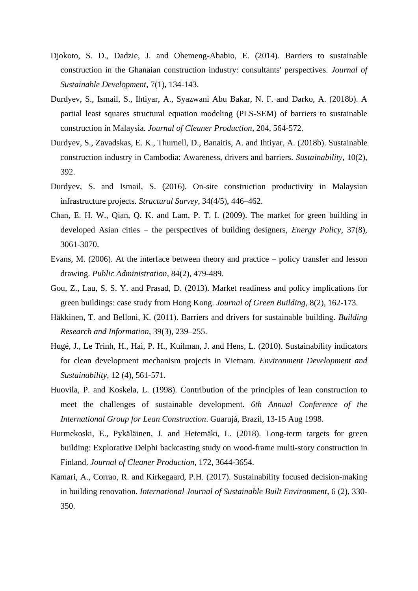- Djokoto, S. D., Dadzie, J. and Ohemeng-Ababio, E. (2014). Barriers to sustainable construction in the Ghanaian construction industry: consultants' perspectives. *Journal of Sustainable Development*, 7(1), 134-143.
- [Durdyev,](https://www.sciencedirect.com/science/article/pii/S0959652618326659?via%3Dihub#!) S., [Ismail,](https://www.sciencedirect.com/science/article/pii/S0959652618326659?via%3Dihub#!) S., [Ihtiyar,](https://www.sciencedirect.com/science/article/pii/S0959652618326659?via%3Dihub#!) A., [Syazwani Abu Bakar, N. F. and Darko,](https://www.sciencedirect.com/science/article/pii/S0959652618326659?via%3Dihub#!) A. (2018b). A partial least squares structural equation modeling (PLS-SEM) of barriers to sustainable construction in Malaysia. *Journal of Cleaner Production*, 204, 564-572.
- Durdyev, S., Zavadskas, E. K., Thurnell, D., Banaitis, A. and Ihtiyar, A. (2018b). Sustainable construction industry in Cambodia: Awareness, drivers and barriers. *Sustainability*, 10(2), 392.
- Durdyev, S. and Ismail, S. (2016). On-site construction productivity in Malaysian infrastructure projects. *Structural Survey*, 34(4/5), 446–462.
- Chan, E. H. W., Qian, Q. K. and Lam, P. T. I. (2009). The market for green building in developed Asian cities – the perspectives of building designers, *Energy Policy*, 37(8), 3061-3070.
- [Evans,](https://onlinelibrary.wiley.com/action/doSearch?ContribAuthorStored=EVANS%2C+MARK) M. (2006). At the interface between theory and practice policy transfer and lesson drawing. *Public Administration*, 84(2), 479-489.
- Gou, Z., Lau, S. S. Y. and Prasad, D. (2013). Market readiness and policy implications for green buildings: case study from Hong Kong. *Journal of Green Building*, 8(2), 162-173.
- Häkkinen, T. and Belloni, K. (2011). Barriers and drivers for sustainable building. *Building Research and Information*, 39(3), 239–255.
- Hugé, J., Le Trinh, H., Hai, P. H., Kuilman, J. and Hens, L. (2010). Sustainability indicators for clean development mechanism projects in Vietnam. *Environment Development and Sustainability*, 12 (4), 561-571.
- Huovila, P. and Koskela, L. (1998). Contribution of the principles of lean construction to meet the challenges of sustainable development. *6th Annual Conference of the International Group for Lean Construction*. Guarujá, Brazil, 13-15 Aug 1998.
- Hurmekoski, E., Pykäläinen, J. and Hetemäki, L. (2018). Long-term targets for green building: Explorative Delphi backcasting study on wood-frame multi-story construction in Finland. *Journal of Cleaner Production*, 172, 3644-3654.
- Kamari, A., Corrao, R. and Kirkegaard, P.H. (2017). Sustainability focused decision-making in building renovation. *International Journal of Sustainable Built Environment*, 6 (2), 330- 350.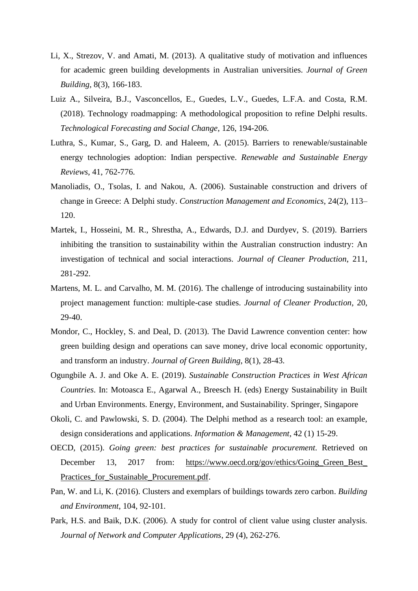- Li, X., Strezov, V. and Amati, M. (2013). A qualitative study of motivation and influences for academic green building developments in Australian universities. *Journal of Green Building*, 8(3), 166-183.
- Luiz A., Silveira, B.J., Vasconcellos, E., Guedes, L.V., Guedes, L.F.A. and Costa, R.M. (2018). Technology roadmapping: A methodological proposition to refine Delphi results. *Technological Forecasting and Social Change*, 126, 194-206.
- Luthra, S., Kumar, S., Garg, D. and Haleem, A. (2015). Barriers to renewable/sustainable energy technologies adoption: Indian perspective. *Renewable and Sustainable Energy Reviews*, 41, 762-776.
- Manoliadis, O., Tsolas, I. and Nakou, A. (2006). Sustainable construction and drivers of change in Greece: A Delphi study. *Construction Management and Economics*, 24(2), 113– 120.
- Martek, I., Hosseini, M. R., Shrestha, A., Edwards, D.J. and Durdyev, S. (2019). Barriers inhibiting the transition to sustainability within the Australian construction industry: An investigation of technical and social interactions. *Journal of Cleaner Production*, 211, 281-292.
- Martens, M. L. and Carvalho, M. M. (2016). The challenge of introducing sustainability into project management function: multiple-case studies. *[Journal of Cleaner Production](https://www.sciencedirect.com/science/journal/09596526)*, 20, 29-40.
- Mondor, C., Hockley, S. and Deal, D. (2013). The David Lawrence convention center: how green building design and operations can save money, drive local economic opportunity, and transform an industry. *Journal of Green Building*, 8(1), 28-43.
- Ogungbile A. J. and Oke A. E. (2019). *Sustainable Construction Practices in West African Countries*. In: Motoasca E., Agarwal A., Breesch H. (eds) Energy Sustainability in Built and Urban Environments. Energy, Environment, and Sustainability. Springer, Singapore
- Okoli, C. and Pawlowski, S. D. (2004). The Delphi method as a research tool: an example, design considerations and applications. *Information & Management*, 42 (1) 15-29.
- OECD, (2015). *Going green: best practices for sustainable procurement*. Retrieved on December 13, 2017 from: [https://www.oecd.org/gov/ethics/Going\\_Green\\_Best\\_](https://www.oecd.org/gov/ethics/Going_Green_Best_%20Practices_for_Sustainable_Procurement.pdf)  Practices for Sustainable Procurement.pdf.
- Pan, W. and Li, K. (2016). Clusters and exemplars of buildings towards zero carbon. *Building and Environment*, 104, 92-101.
- Park, H.S. and Baik, D.K. (2006). A study for control of client value using cluster analysis. *Journal of Network and Computer Applications*, 29 (4), 262-276.